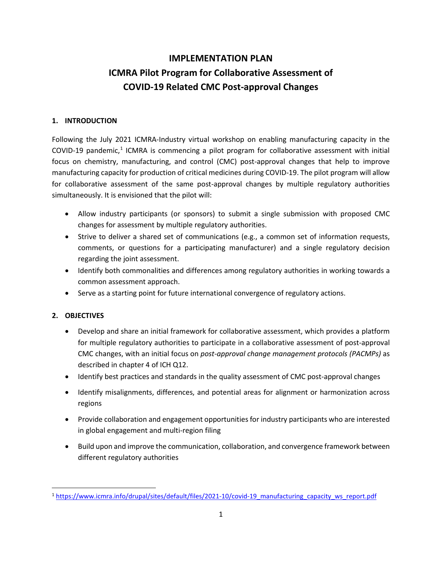# **IMPLEMENTATION PLAN ICMRA Pilot Program for Collaborative Assessment of COVID-19 Related CMC Post-approval Changes**

# **1. INTRODUCTION**

Following the July 2021 ICMRA-Industry virtual workshop on enabling manufacturing capacity in the COVID-[1](#page-0-0)9 pandemic,<sup>1</sup> ICMRA is commencing a pilot program for collaborative assessment with initial focus on chemistry, manufacturing, and control (CMC) post-approval changes that help to improve manufacturing capacity for production of critical medicines during COVID-19. The pilot program will allow for collaborative assessment of the same post-approval changes by multiple regulatory authorities simultaneously. It is envisioned that the pilot will:

- Allow industry participants (or sponsors) to submit a single submission with proposed CMC changes for assessment by multiple regulatory authorities.
- Strive to deliver a shared set of communications (e.g., a common set of information requests, comments, or questions for a participating manufacturer) and a single regulatory decision regarding the joint assessment.
- Identify both commonalities and differences among regulatory authorities in working towards a common assessment approach.
- Serve as a starting point for future international convergence of regulatory actions.

# **2. OBJECTIVES**

- Develop and share an initial framework for collaborative assessment, which provides a platform for multiple regulatory authorities to participate in a collaborative assessment of post-approval CMC changes, with an initial focus on *post-approval change management protocols (PACMPs)* as described in chapter 4 of ICH Q12.
- Identify best practices and standards in the quality assessment of CMC post-approval changes
- Identify misalignments, differences, and potential areas for alignment or harmonization across regions
- Provide collaboration and engagement opportunities for industry participants who are interested in global engagement and multi-region filing
- Build upon and improve the communication, collaboration, and convergence framework between different regulatory authorities

<span id="page-0-0"></span><sup>&</sup>lt;sup>1</sup> [https://www.icmra.info/drupal/sites/default/files/2021-10/covid-19\\_manufacturing\\_capacity\\_ws\\_report.pdf](https://www.icmra.info/drupal/sites/default/files/2021-10/covid-19_manufacturing_capacity_ws_report.pdf)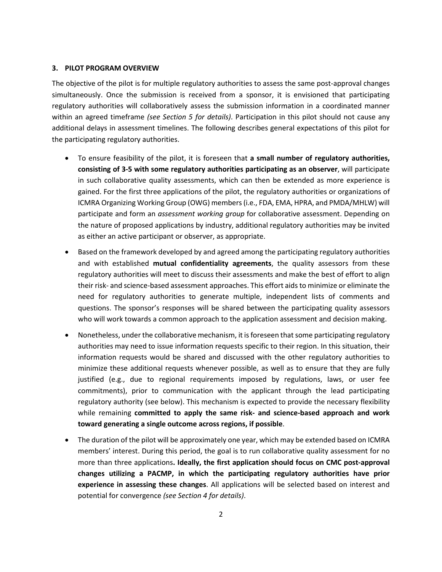#### **3. PILOT PROGRAM OVERVIEW**

The objective of the pilot is for multiple regulatory authorities to assess the same post-approval changes simultaneously. Once the submission is received from a sponsor, it is envisioned that participating regulatory authorities will collaboratively assess the submission information in a coordinated manner within an agreed timeframe *(see Section 5 for details)*. Participation in this pilot should not cause any additional delays in assessment timelines. The following describes general expectations of this pilot for the participating regulatory authorities.

- To ensure feasibility of the pilot, it is foreseen that **a small number of regulatory authorities, consisting of 3-5 with some regulatory authorities participating as an observer**, will participate in such collaborative quality assessments, which can then be extended as more experience is gained. For the first three applications of the pilot, the regulatory authorities or organizations of ICMRA Organizing Working Group (OWG) members(i.e., FDA, EMA, HPRA, and PMDA/MHLW) will participate and form an *assessment working group* for collaborative assessment. Depending on the nature of proposed applications by industry, additional regulatory authorities may be invited as either an active participant or observer, as appropriate.
- Based on the framework developed by and agreed among the participating regulatory authorities and with established **mutual confidentiality agreements**, the quality assessors from these regulatory authorities will meet to discuss their assessments and make the best of effort to align their risk- and science-based assessment approaches. This effort aids to minimize or eliminate the need for regulatory authorities to generate multiple, independent lists of comments and questions. The sponsor's responses will be shared between the participating quality assessors who will work towards a common approach to the application assessment and decision making.
- Nonetheless, under the collaborative mechanism, it is foreseen that some participating regulatory authorities may need to issue information requests specific to their region. In this situation, their information requests would be shared and discussed with the other regulatory authorities to minimize these additional requests whenever possible, as well as to ensure that they are fully justified (e.g., due to regional requirements imposed by regulations, laws, or user fee commitments), prior to communication with the applicant through the lead participating regulatory authority (see below). This mechanism is expected to provide the necessary flexibility while remaining **committed to apply the same risk- and science-based approach and work toward generating a single outcome across regions, if possible**.
- The duration of the pilot will be approximately one year, which may be extended based on ICMRA members' interest. During this period, the goal is to run collaborative quality assessment for no more than three applications**. Ideally, the first application should focus on CMC post-approval changes utilizing a PACMP, in which the participating regulatory authorities have prior experience in assessing these changes**. All applications will be selected based on interest and potential for convergence *(see Section 4 for details)*.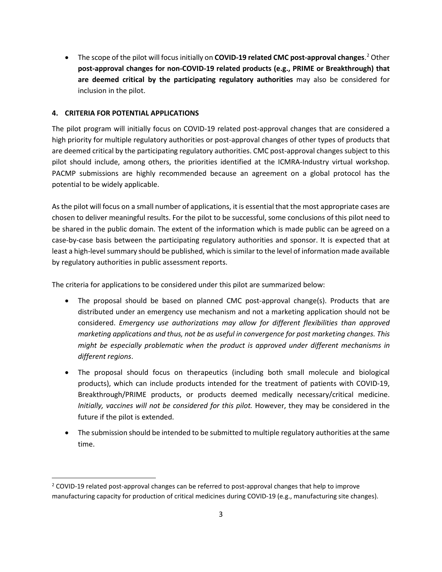• The scope of the pilot will focus initially on **COVID-19 related CMC post-approval changes**. [2](#page-2-0) Other **post-approval changes for non-COVID-19 related products (e.g., PRIME or Breakthrough) that are deemed critical by the participating regulatory authorities** may also be considered for inclusion in the pilot.

#### **4. CRITERIA FOR POTENTIAL APPLICATIONS**

The pilot program will initially focus on COVID-19 related post-approval changes that are considered a high priority for multiple regulatory authorities or post-approval changes of other types of products that are deemed critical by the participating regulatory authorities. CMC post-approval changes subject to this pilot should include, among others, the priorities identified at the ICMRA-Industry virtual workshop. PACMP submissions are highly recommended because an agreement on a global protocol has the potential to be widely applicable.

As the pilot will focus on a small number of applications, it is essential that the most appropriate cases are chosen to deliver meaningful results. For the pilot to be successful, some conclusions of this pilot need to be shared in the public domain. The extent of the information which is made public can be agreed on a case-by-case basis between the participating regulatory authorities and sponsor. It is expected that at least a high-level summary should be published, which is similar to the level of information made available by regulatory authorities in public assessment reports.

The criteria for applications to be considered under this pilot are summarized below:

- The proposal should be based on planned CMC post-approval change(s). Products that are distributed under an emergency use mechanism and not a marketing application should not be considered. *Emergency use authorizations may allow for different flexibilities than approved marketing applications and thus, not be as useful in convergence for post marketing changes. This might be especially problematic when the product is approved under different mechanisms in different regions*.
- The proposal should focus on therapeutics (including both small molecule and biological products), which can include products intended for the treatment of patients with COVID-19, Breakthrough/PRIME products, or products deemed medically necessary/critical medicine. *Initially, vaccines will not be considered for this pilot.* However, they may be considered in the future if the pilot is extended.
- The submission should be intended to be submitted to multiple regulatory authorities at the same time.

<span id="page-2-0"></span> $2$  COVID-19 related post-approval changes can be referred to post-approval changes that help to improve manufacturing capacity for production of critical medicines during COVID-19 (e.g., manufacturing site changes).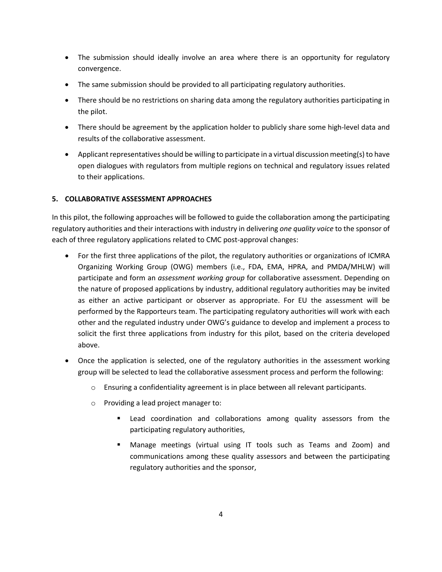- The submission should ideally involve an area where there is an opportunity for regulatory convergence.
- The same submission should be provided to all participating regulatory authorities.
- There should be no restrictions on sharing data among the regulatory authorities participating in the pilot.
- There should be agreement by the application holder to publicly share some high-level data and results of the collaborative assessment.
- Applicant representatives should be willing to participate in a virtual discussion meeting(s) to have open dialogues with regulators from multiple regions on technical and regulatory issues related to their applications.

# **5. COLLABORATIVE ASSESSMENT APPROACHES**

In this pilot, the following approaches will be followed to guide the collaboration among the participating regulatory authorities and their interactions with industry in delivering *one quality voice* to the sponsor of each of three regulatory applications related to CMC post-approval changes:

- For the first three applications of the pilot, the regulatory authorities or organizations of ICMRA Organizing Working Group (OWG) members (i.e., FDA, EMA, HPRA, and PMDA/MHLW) will participate and form an *assessment working group* for collaborative assessment. Depending on the nature of proposed applications by industry, additional regulatory authorities may be invited as either an active participant or observer as appropriate. For EU the assessment will be performed by the Rapporteurs team. The participating regulatory authorities will work with each other and the regulated industry under OWG's guidance to develop and implement a process to solicit the first three applications from industry for this pilot, based on the criteria developed above.
- Once the application is selected, one of the regulatory authorities in the assessment working group will be selected to lead the collaborative assessment process and perform the following:
	- o Ensuring a confidentiality agreement is in place between all relevant participants.
	- o Providing a lead project manager to:
		- Lead coordination and collaborations among quality assessors from the participating regulatory authorities,
		- Manage meetings (virtual using IT tools such as Teams and Zoom) and communications among these quality assessors and between the participating regulatory authorities and the sponsor,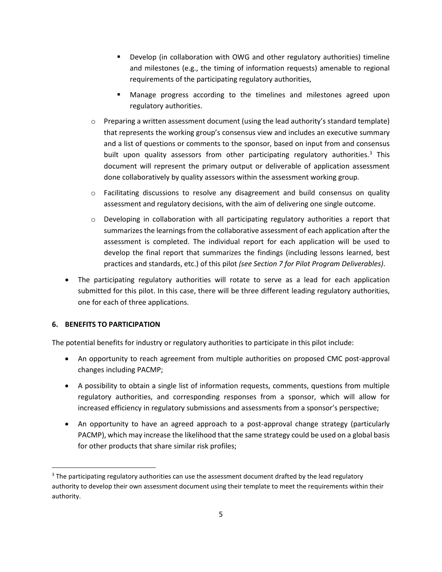- Develop (in collaboration with OWG and other regulatory authorities) timeline and milestones (e.g., the timing of information requests) amenable to regional requirements of the participating regulatory authorities,
- Manage progress according to the timelines and milestones agreed upon regulatory authorities.
- $\circ$  Preparing a written assessment document (using the lead authority's standard template) that represents the working group's consensus view and includes an executive summary and a list of questions or comments to the sponsor, based on input from and consensus built upon quality assessors from other participating regulatory authorities.<sup>[3](#page-4-0)</sup> This document will represent the primary output or deliverable of application assessment done collaboratively by quality assessors within the assessment working group.
- $\circ$  Facilitating discussions to resolve any disagreement and build consensus on quality assessment and regulatory decisions, with the aim of delivering one single outcome.
- $\circ$  Developing in collaboration with all participating regulatory authorities a report that summarizes the learnings from the collaborative assessment of each application after the assessment is completed. The individual report for each application will be used to develop the final report that summarizes the findings (including lessons learned, best practices and standards, etc.) of this pilot *(see Section 7 for Pilot Program Deliverables)*.
- The participating regulatory authorities will rotate to serve as a lead for each application submitted for this pilot. In this case, there will be three different leading regulatory authorities, one for each of three applications.

#### **6. BENEFITS TO PARTICIPATION**

The potential benefits for industry or regulatory authorities to participate in this pilot include:

- An opportunity to reach agreement from multiple authorities on proposed CMC post-approval changes including PACMP;
- A possibility to obtain a single list of information requests, comments, questions from multiple regulatory authorities, and corresponding responses from a sponsor, which will allow for increased efficiency in regulatory submissions and assessments from a sponsor's perspective;
- An opportunity to have an agreed approach to a post-approval change strategy (particularly PACMP), which may increase the likelihood that the same strategy could be used on a global basis for other products that share similar risk profiles;

<span id="page-4-0"></span><sup>&</sup>lt;sup>3</sup> The participating regulatory authorities can use the assessment document drafted by the lead regulatory authority to develop their own assessment document using their template to meet the requirements within their authority.